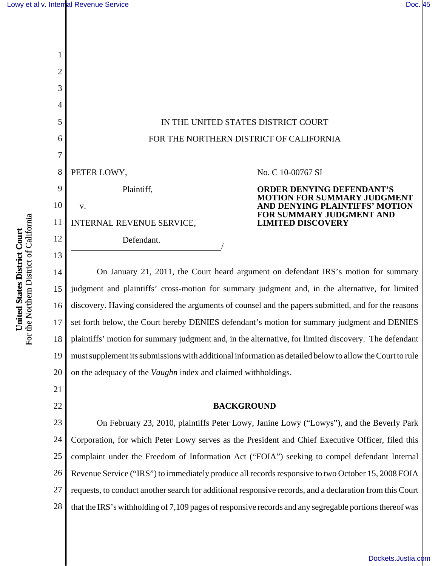

14 15 16 17 18 19 20 On January 21, 2011, the Court heard argument on defendant IRS's motion for summary judgment and plaintiffs' cross-motion for summary judgment and, in the alternative, for limited discovery. Having considered the arguments of counsel and the papers submitted, and for the reasons set forth below, the Court hereby DENIES defendant's motion for summary judgment and DENIES plaintiffs' motion for summary judgment and, in the alternative, for limited discovery. The defendant must supplement its submissions with additional information as detailed below to allow the Court to rule on the adequacy of the *Vaughn* index and claimed withholdings.

22

21

#### **BACKGROUND**

23 24 25 26 27 28 On February 23, 2010, plaintiffs Peter Lowy, Janine Lowy ("Lowys"), and the Beverly Park Corporation, for which Peter Lowy serves as the President and Chief Executive Officer, filed this complaint under the Freedom of Information Act ("FOIA") seeking to compel defendant Internal Revenue Service ("IRS") to immediately produce all records responsive to two October 15, 2008 FOIA requests, to conduct another search for additional responsive records, and a declaration from this Court that the IRS's withholding of 7,109 pages of responsive records and any segregable portions thereof was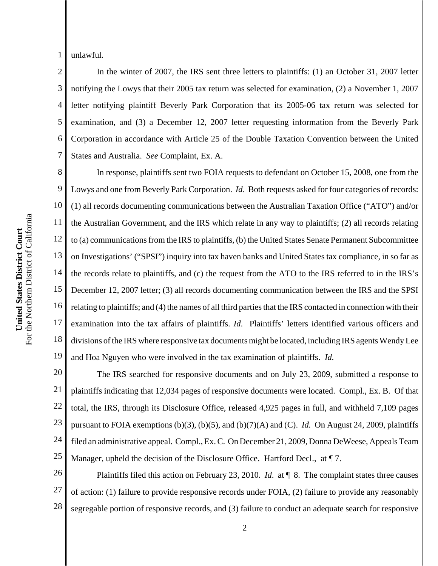1 unlawful.

2 3 4 5 6 7 In the winter of 2007, the IRS sent three letters to plaintiffs: (1) an October 31, 2007 letter notifying the Lowys that their 2005 tax return was selected for examination, (2) a November 1, 2007 letter notifying plaintiff Beverly Park Corporation that its 2005-06 tax return was selected for examination, and (3) a December 12, 2007 letter requesting information from the Beverly Park Corporation in accordance with Article 25 of the Double Taxation Convention between the United States and Australia. *See* Complaint, Ex. A.

8 9 10 11 12 13 14 15 16 17 18 19 In response, plaintiffs sent two FOIA requests to defendant on October 15, 2008, one from the Lowys and one from Beverly Park Corporation. *Id*. Both requests asked for four categories of records: (1) all records documenting communications between the Australian Taxation Office ("ATO") and/or the Australian Government, and the IRS which relate in any way to plaintiffs; (2) all records relating to (a) communications from the IRS to plaintiffs, (b) the United States Senate Permanent Subcommittee on Investigations' ("SPSI") inquiry into tax haven banks and United States tax compliance, in so far as the records relate to plaintiffs, and (c) the request from the ATO to the IRS referred to in the IRS's December 12, 2007 letter; (3) all records documenting communication between the IRS and the SPSI relating to plaintiffs; and (4) the names of all third parties that the IRS contacted in connection with their examination into the tax affairs of plaintiffs. *Id*. Plaintiffs' letters identified various officers and divisions of the IRS where responsive tax documents might be located, including IRS agents Wendy Lee and Hoa Nguyen who were involved in the tax examination of plaintiffs. *Id.*

20 21 22 23 24 25 The IRS searched for responsive documents and on July 23, 2009, submitted a response to plaintiffs indicating that 12,034 pages of responsive documents were located. Compl., Ex. B. Of that total, the IRS, through its Disclosure Office, released 4,925 pages in full, and withheld 7,109 pages pursuant to FOIA exemptions (b)(3), (b)(5), and (b)(7)(A) and (C). *Id.* On August 24, 2009, plaintiffs filed an administrative appeal. Compl., Ex. C. On December 21, 2009, Donna DeWeese, Appeals Team Manager, upheld the decision of the Disclosure Office. Hartford Decl., at ¶ 7.

26 27 28 Plaintiffs filed this action on February 23, 2010. *Id*. at ¶ 8. The complaint states three causes of action: (1) failure to provide responsive records under FOIA, (2) failure to provide any reasonably segregable portion of responsive records, and (3) failure to conduct an adequate search for responsive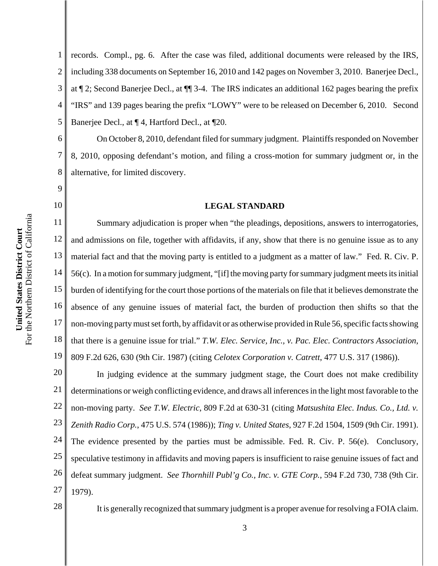9

10

1 2 3 4 5 records. Compl., pg. 6. After the case was filed, additional documents were released by the IRS, including 338 documents on September 16, 2010 and 142 pages on November 3, 2010. Banerjee Decl., at ¶ 2; Second Banerjee Decl., at ¶¶ 3-4. The IRS indicates an additional 162 pages bearing the prefix "IRS" and 139 pages bearing the prefix "LOWY" were to be released on December 6, 2010. Second Banerjee Decl., at ¶ 4, Hartford Decl., at ¶20.

6 8 On October 8, 2010, defendant filed for summary judgment. Plaintiffs responded on November 8, 2010, opposing defendant's motion, and filing a cross-motion for summary judgment or, in the alternative, for limited discovery.

#### **LEGAL STANDARD**

11 12 13 14 15 16 17 18 19 Summary adjudication is proper when "the pleadings, depositions, answers to interrogatories, and admissions on file, together with affidavits, if any, show that there is no genuine issue as to any material fact and that the moving party is entitled to a judgment as a matter of law." Fed. R. Civ. P. 56(c). In a motion for summary judgment, "[if] the moving party for summary judgment meets its initial burden of identifying for the court those portions of the materials on file that it believes demonstrate the absence of any genuine issues of material fact, the burden of production then shifts so that the non-moving party must set forth, by affidavit or as otherwise provided in Rule 56, specific facts showing that there is a genuine issue for trial." *T.W. Elec. Service, Inc., v. Pac. Elec. Contractors Association*, 809 F.2d 626, 630 (9th Cir. 1987) (citing *Celotex Corporation v. Catrett*, 477 U.S. 317 (1986)).

20 21 22 23 24 25 26 27 In judging evidence at the summary judgment stage, the Court does not make credibility determinations or weigh conflicting evidence, and draws all inferences in the light most favorable to the non-moving party. *See T.W. Electric*, 809 F.2d at 630-31 (citing *Matsushita Elec. Indus. Co., Ltd. v. Zenith Radio Corp.*, 475 U.S. 574 (1986)); *Ting v. United States*, 927 F.2d 1504, 1509 (9th Cir. 1991). The evidence presented by the parties must be admissible. Fed. R. Civ. P. 56(e). Conclusory, speculative testimony in affidavits and moving papers is insufficient to raise genuine issues of fact and defeat summary judgment. *See Thornhill Publ'g Co., Inc. v. GTE Corp.*, 594 F.2d 730, 738 (9th Cir. 1979).

28

It is generally recognized that summary judgment is a proper avenue for resolving a FOIA claim.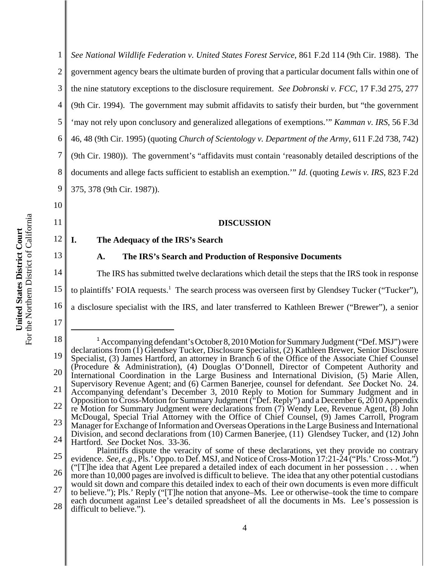1 2 3 4 5 6 7 8 9 *See National Wildlife Federation v. United States Forest Service*, 861 F.2d 114 (9th Cir. 1988). The government agency bears the ultimate burden of proving that a particular document falls within one of the nine statutory exceptions to the disclosure requirement. *See Dobronski v. FCC*, 17 F.3d 275, 277 (9th Cir. 1994). The government may submit affidavits to satisfy their burden, but "the government 'may not rely upon conclusory and generalized allegations of exemptions.'" *Kamman v. IRS*, 56 F.3d 46, 48 (9th Cir. 1995) (quoting *Church of Scientology v. Department of the Army*, 611 F.2d 738, 742) (9th Cir. 1980)). The government's "affidavits must contain 'reasonably detailed descriptions of the documents and allege facts sufficient to establish an exemption.'" *Id.* (quoting *Lewis v. IRS*, 823 F.2d 375, 378 (9th Cir. 1987)).

## **DISCUSSION**

# **I. The Adequacy of the IRS's Search**

#### **A. The IRS's Search and Production of Responsive Documents**

14 15 The IRS has submitted twelve declarations which detail the steps that the IRS took in response to plaintiffs' FOIA requests.<sup>1</sup> The search process was overseen first by Glendsey Tucker ("Tucker"),

16 a disclosure specialist with the IRS, and later transferred to Kathleen Brewer ("Brewer"), a senior

17

10

11

12

<sup>18</sup> 19 20 21 22 23 24 25 26 27 <sup>1</sup> Accompanying defendant's October 8, 2010 Motion for Summary Judgment ("Def. MSJ") were declarations from (1) Glendsey Tucker, Disclosure Specialist, (2) Kathleen Brewer, Senior Disclosure Specialist, (3) James Hartford, an attorney in Branch 6 of the Office of the Associate Chief Counsel (Procedure & Administration), (4) Douglas O'Donnell, Director of Competent Authority and International Coordination in the Large Business and International Division, (5) Marie Allen, Supervisory Revenue Agent; and (6) Carmen Banerjee, counsel for defendant. *See* Docket No. 24. Accompanying defendant's December 3, 2010 Reply to Motion for Summary Judgment and in Opposition to Cross-Motion for Summary Judgment ("Def. Reply") and a December 6, 2010 Appendix re Motion for Summary Judgment were declarations from (7) Wendy Lee, Revenue Agent, (8) John McDougal, Special Trial Attorney with the Office of Chief Counsel, (9) James Carroll, Program Manager for Exchange of Information and Overseas Operations in the Large Business and International Division, and second declarations from (10) Carmen Banerjee, (11) Glendsey Tucker, and (12) John Hartford. *See* Docket Nos. 33-36. Plaintiffs dispute the veracity of some of these declarations, yet they provide no contrary evidence. *See, e.g.,* Pls.' Oppo. to Def. MSJ, and Notice of Cross-Motion 17:21-24 ("Pls.' Cross-Mot.") ("[T]he idea that Agent Lee prepared a detailed index of each document in her possession . . . when more than 10,000 pages are involved is difficult to believe. The idea that any other potential custodians would sit down and compare this detailed index to each of their own documents is even more difficult

<sup>28</sup> to believe."); Pls.' Reply ("[T]he notion that anyone–Ms. Lee or otherwise–took the time to compare each document against Lee's detailed spreadsheet of all the documents in Ms. Lee's possession is difficult to believe.").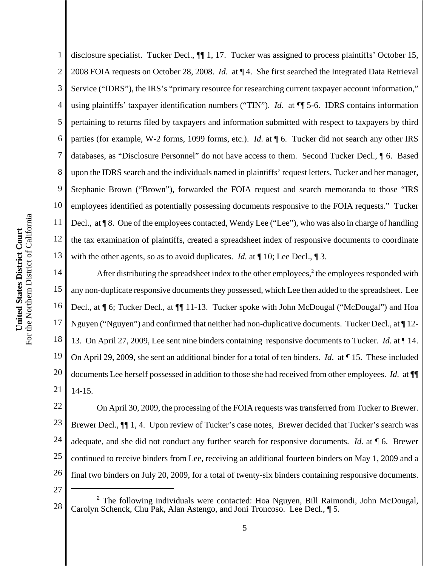1 2 3 4 5 disclosure specialist. Tucker Decl., ¶¶ 1, 17. Tucker was assigned to process plaintiffs' October 15, 2008 FOIA requests on October 28, 2008. *Id*. at ¶ 4. She first searched the Integrated Data Retrieval Service ("IDRS"), the IRS's "primary resource for researching current taxpayer account information," using plaintiffs' taxpayer identification numbers ("TIN"). *Id*. at ¶¶ 5-6. IDRS contains information pertaining to returns filed by taxpayers and information submitted with respect to taxpayers by third parties (for example, W-2 forms, 1099 forms, etc.). *Id*. at ¶ 6. Tucker did not search any other IRS databases, as "Disclosure Personnel" do not have access to them. Second Tucker Decl., ¶ 6. Based upon the IDRS search and the individuals named in plaintiffs' request letters, Tucker and her manager, Stephanie Brown ("Brown"), forwarded the FOIA request and search memoranda to those "IRS employees identified as potentially possessing documents responsive to the FOIA requests." Tucker Decl., at  $\P$  8. One of the employees contacted, Wendy Lee ("Lee"), who was also in charge of handling the tax examination of plaintiffs, created a spreadsheet index of responsive documents to coordinate with the other agents, so as to avoid duplicates. *Id.* at  $\P$  10; Lee Decl.,  $\P$  3.

18 19 20 21 After distributing the spreadsheet index to the other employees,<sup>2</sup> the employees responded with any non-duplicate responsive documents they possessed, which Lee then added to the spreadsheet. Lee Decl., at ¶ 6; Tucker Decl.*,* at ¶¶ 11-13. Tucker spoke with John McDougal ("McDougal") and Hoa Nguyen ("Nguyen") and confirmed that neither had non-duplicative documents. Tucker Decl., at ¶ 12- 13. On April 27, 2009, Lee sent nine binders containing responsive documents to Tucker. *Id.* at ¶ 14. On April 29, 2009, she sent an additional binder for a total of ten binders. *Id*. at ¶ 15. These included documents Lee herself possessed in addition to those she had received from other employees. *Id*. at ¶¶ 14-15.

22 23 24 25 26 On April 30, 2009, the processing of the FOIA requests was transferred from Tucker to Brewer. Brewer Decl., ¶¶ 1, 4. Upon review of Tucker's case notes, Brewer decided that Tucker's search was adequate, and she did not conduct any further search for responsive documents. *Id.* at ¶ 6. Brewer continued to receive binders from Lee, receiving an additional fourteen binders on May 1, 2009 and a final two binders on July 20, 2009, for a total of twenty-six binders containing responsive documents.

<sup>28</sup> <sup>2</sup> The following individuals were contacted: Hoa Nguyen, Bill Raimondi, John McDougal, Carolyn Schenck, Chu Pak, Alan Astengo, and Joni Troncoso. Lee Decl., ¶ 5.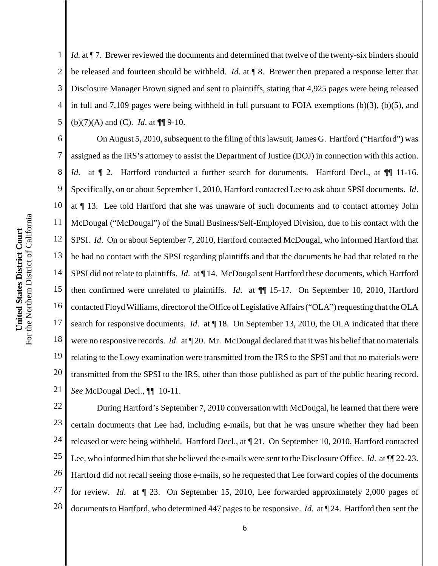1 2 3 4 5 *Id.* at  $\P$  7. Brewer reviewed the documents and determined that twelve of the twenty-six binders should be released and fourteen should be withheld. *Id.* at ¶ 8. Brewer then prepared a response letter that Disclosure Manager Brown signed and sent to plaintiffs, stating that 4,925 pages were being released in full and 7,109 pages were being withheld in full pursuant to FOIA exemptions (b)(3), (b)(5), and (b)(7)(A) and (C). *Id*. at ¶¶ 9-10.

6 7 8 9 10 11 12 13 14 15 16 17 18 19 20 21 On August 5, 2010, subsequent to the filing of this lawsuit, James G. Hartford ("Hartford") was assigned as the IRS's attorney to assist the Department of Justice (DOJ) in connection with this action. *Id.* at  $\P$  2. Hartford conducted a further search for documents. Hartford Decl., at  $\P$  11-16. Specifically, on or about September 1, 2010, Hartford contacted Lee to ask about SPSI documents. *Id*. at ¶ 13. Lee told Hartford that she was unaware of such documents and to contact attorney John McDougal ("McDougal") of the Small Business/Self-Employed Division, due to his contact with the SPSI. *Id*. On or about September 7, 2010, Hartford contacted McDougal, who informed Hartford that he had no contact with the SPSI regarding plaintiffs and that the documents he had that related to the SPSI did not relate to plaintiffs. *Id*. at ¶ 14. McDougal sent Hartford these documents, which Hartford then confirmed were unrelated to plaintiffs. *Id*. at ¶¶ 15-17. On September 10, 2010, Hartford contacted Floyd Williams, director of the Office of Legislative Affairs ("OLA") requesting that the OLA search for responsive documents. *Id*. at ¶ 18. On September 13, 2010, the OLA indicated that there were no responsive records. *Id*. at ¶ 20. Mr. McDougal declared that it was his belief that no materials relating to the Lowy examination were transmitted from the IRS to the SPSI and that no materials were transmitted from the SPSI to the IRS, other than those published as part of the public hearing record. *See* McDougal Decl., ¶¶ 10-11.

22 23 24 25 26 27 28 During Hartford's September 7, 2010 conversation with McDougal, he learned that there were certain documents that Lee had, including e-mails, but that he was unsure whether they had been released or were being withheld. Hartford Decl., at ¶ 21. On September 10, 2010, Hartford contacted Lee, who informed him that she believed the e-mails were sent to the Disclosure Office. *Id*. at ¶¶ 22-23. Hartford did not recall seeing those e-mails, so he requested that Lee forward copies of the documents for review. *Id*. at ¶ 23. On September 15, 2010, Lee forwarded approximately 2,000 pages of documents to Hartford, who determined 447 pages to be responsive. *Id*. at ¶ 24. Hartford then sent the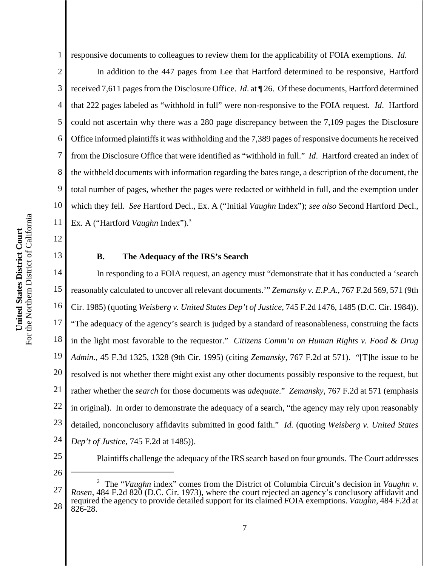2 3 4 5 6 7 8 9 10 11 In addition to the 447 pages from Lee that Hartford determined to be responsive, Hartford received 7,611 pages from the Disclosure Office. *Id*. at ¶ 26. Of these documents, Hartford determined that 222 pages labeled as "withhold in full" were non-responsive to the FOIA request. *Id*. Hartford could not ascertain why there was a 280 page discrepancy between the 7,109 pages the Disclosure Office informed plaintiffs it was withholding and the 7,389 pages of responsive documents he received from the Disclosure Office that were identified as "withhold in full." *Id*. Hartford created an index of the withheld documents with information regarding the bates range, a description of the document, the total number of pages, whether the pages were redacted or withheld in full, and the exemption under which they fell. *See* Hartford Decl., Ex. A ("Initial *Vaughn* Index"); *see also* Second Hartford Decl., Ex. A ("Hartford *Vaughn* Index").3

# For the Northern District of California For the Northern District of California United States District Court **United States District Court**

12

13

# **B. The Adequacy of the IRS's Search**

14 15 16 17 18 19 20 21 22 23 24 In responding to a FOIA request, an agency must "demonstrate that it has conducted a 'search reasonably calculated to uncover all relevant documents.'" *Zemansky v. E.P.A.*, 767 F.2d 569, 571 (9th Cir. 1985) (quoting *Weisberg v. United States Dep't of Justice*, 745 F.2d 1476, 1485 (D.C. Cir. 1984)). "The adequacy of the agency's search is judged by a standard of reasonableness, construing the facts in the light most favorable to the requestor." *Citizens Comm'n on Human Rights v. Food & Drug Admin.*, 45 F.3d 1325, 1328 (9th Cir. 1995) (citing *Zemansky*, 767 F.2d at 571). "[T]he issue to be resolved is not whether there might exist any other documents possibly responsive to the request, but rather whether the *search* for those documents was *adequate*." *Zemansky*, 767 F.2d at 571 (emphasis in original). In order to demonstrate the adequacy of a search, "the agency may rely upon reasonably detailed, nonconclusory affidavits submitted in good faith." *Id.* (quoting *Weisberg v. United States Dep't of Justice*, 745 F.2d at 1485)).

25

Plaintiffs challenge the adequacy of the IRS search based on four grounds. The Court addresses

<sup>27</sup> 28 <sup>3</sup> The "*Vaughn* index" comes from the District of Columbia Circuit's decision in *Vaughn v*. *Rosen*, 484 F.2d 820 (D.C. Cir. 1973), where the court rejected an agency's conclusory affidavit and required the agency to provide detailed support for its claimed FOIA exemptions. *Vaughn*, 484 F.2d at 826-28.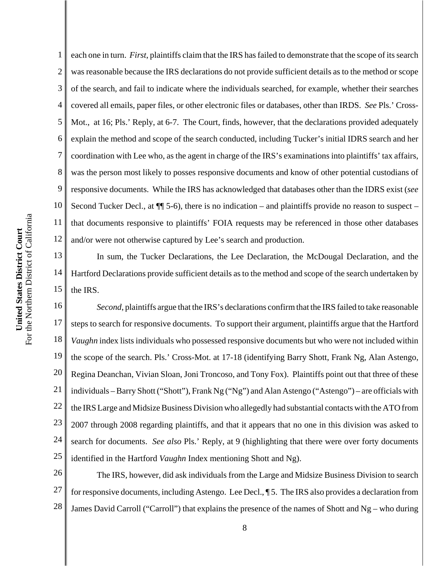1 2 3 4 each one in turn. *First*, plaintiffs claim that the IRS has failed to demonstrate that the scope of its search was reasonable because the IRS declarations do not provide sufficient details as to the method or scope of the search, and fail to indicate where the individuals searched, for example, whether their searches covered all emails, paper files, or other electronic files or databases, other than IRDS. *See* Pls.' Cross-Mot., at 16; Pls.' Reply, at 6-7. The Court, finds, however, that the declarations provided adequately explain the method and scope of the search conducted, including Tucker's initial IDRS search and her coordination with Lee who, as the agent in charge of the IRS's examinations into plaintiffs' tax affairs, was the person most likely to posses responsive documents and know of other potential custodians of responsive documents. While the IRS has acknowledged that databases other than the IDRS exist (*see* Second Tucker Decl., at  $\P$  5-6), there is no indication – and plaintiffs provide no reason to suspect – that documents responsive to plaintiffs' FOIA requests may be referenced in those other databases and/or were not otherwise captured by Lee's search and production.

In sum, the Tucker Declarations, the Lee Declaration, the McDougal Declaration, and the Hartford Declarations provide sufficient details as to the method and scope of the search undertaken by the IRS.

18 19 20 21 22 23 24 25 *Second*, plaintiffs argue that the IRS's declarations confirm that the IRS failed to take reasonable steps to search for responsive documents. To support their argument, plaintiffs argue that the Hartford *Vaughn* index lists individuals who possessed responsive documents but who were not included within the scope of the search. Pls.' Cross-Mot. at 17-18 (identifying Barry Shott, Frank Ng, Alan Astengo, Regina Deanchan, Vivian Sloan, Joni Troncoso, and Tony Fox). Plaintiffs point out that three of these individuals – Barry Shott ("Shott"), Frank Ng ("Ng") and Alan Astengo ("Astengo") – are officials with the IRS Large and Midsize Business Division who allegedly had substantial contacts with the ATO from 2007 through 2008 regarding plaintiffs, and that it appears that no one in this division was asked to search for documents. *See also* Pls.' Reply, at 9 (highlighting that there were over forty documents identified in the Hartford *Vaughn* Index mentioning Shott and Ng).

26 27 28 The IRS, however, did ask individuals from the Large and Midsize Business Division to search for responsive documents, including Astengo. Lee Decl., ¶ 5. The IRS also provides a declaration from James David Carroll ("Carroll") that explains the presence of the names of Shott and Ng – who during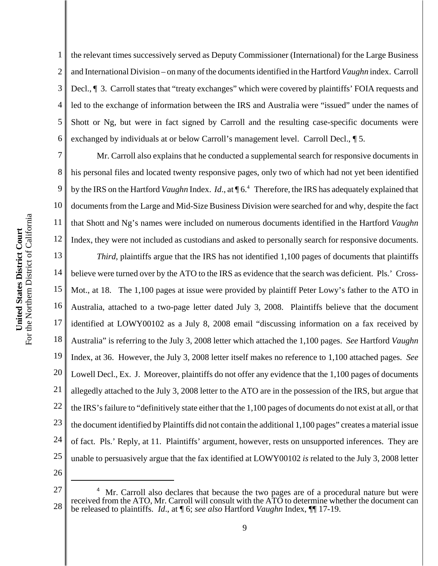1 2 3 4 5 6 the relevant times successively served as Deputy Commissioner (International) for the Large Business and International Division – on many of the documents identified in the Hartford *Vaughn* index. Carroll Decl., ¶ 3. Carroll states that "treaty exchanges" which were covered by plaintiffs' FOIA requests and led to the exchange of information between the IRS and Australia were "issued" under the names of Shott or Ng, but were in fact signed by Carroll and the resulting case-specific documents were exchanged by individuals at or below Carroll's management level. Carroll Decl., ¶ 5.

7 8 9 10 11 12 13 Mr. Carroll also explains that he conducted a supplemental search for responsive documents in his personal files and located twenty responsive pages, only two of which had not yet been identified by the IRS on the Hartford *Vaughn* Index. *Id.*, at  $\P$ 6.<sup>4</sup> Therefore, the IRS has adequately explained that documents from the Large and Mid-Size Business Division were searched for and why, despite the fact that Shott and Ng's names were included on numerous documents identified in the Hartford *Vaughn* Index, they were not included as custodians and asked to personally search for responsive documents. *Third*, plaintiffs argue that the IRS has not identified 1,100 pages of documents that plaintiffs

14 15 16 17 18 19 20 21 22 23 24 25 believe were turned over by the ATO to the IRS as evidence that the search was deficient. Pls.' Cross-Mot., at 18. The 1,100 pages at issue were provided by plaintiff Peter Lowy's father to the ATO in Australia, attached to a two-page letter dated July 3, 2008. Plaintiffs believe that the document identified at LOWY00102 as a July 8, 2008 email "discussing information on a fax received by Australia" is referring to the July 3, 2008 letter which attached the 1,100 pages. *See* Hartford *Vaughn* Index, at 36. However, the July 3, 2008 letter itself makes no reference to 1,100 attached pages. *See* Lowell Decl., Ex. J. Moreover, plaintiffs do not offer any evidence that the 1,100 pages of documents allegedly attached to the July 3, 2008 letter to the ATO are in the possession of the IRS, but argue that the IRS's failure to "definitively state either that the 1,100 pages of documents do not exist at all, or that the document identified by Plaintiffs did not contain the additional 1,100 pages" creates a material issue of fact. Pls.' Reply, at 11. Plaintiffs' argument, however, rests on unsupported inferences. They are unable to persuasively argue that the fax identified at LOWY00102 *is* related to the July 3, 2008 letter

<sup>27</sup> 28 4 Mr. Carroll also declares that because the two pages are of a procedural nature but were received from the ATO, Mr. Carroll will consult with the ATO to determine whether the document can be released to plaintiffs. *Id*., at ¶ 6; *see also* Hartford *Vaughn* Index, ¶¶ 17-19.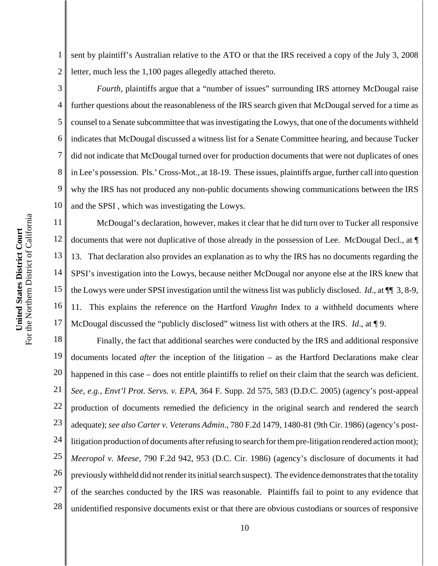1 2 sent by plaintiff's Australian relative to the ATO or that the IRS received a copy of the July 3, 2008 letter, much less the 1,100 pages allegedly attached thereto.

3

5

4 6 7 8 9 10 *Fourth*, plaintiffs argue that a "number of issues" surrounding IRS attorney McDougal raise further questions about the reasonableness of the IRS search given that McDougal served for a time as counsel to a Senate subcommittee that was investigating the Lowys, that one of the documents withheld indicates that McDougal discussed a witness list for a Senate Committee hearing, and because Tucker did not indicate that McDougal turned over for production documents that were not duplicates of ones in Lee's possession. Pls.' Cross-Mot., at 18-19. These issues, plaintiffs argue, further call into question why the IRS has not produced any non-public documents showing communications between the IRS and the SPSI , which was investigating the Lowys.

11 12 13 14 15 16 17 McDougal's declaration, however, makes it clear that he did turn over to Tucker all responsive documents that were not duplicative of those already in the possession of Lee. McDougal Decl., at ¶ 13. That declaration also provides an explanation as to why the IRS has no documents regarding the SPSI's investigation into the Lowys, because neither McDougal nor anyone else at the IRS knew that the Lowys were under SPSI investigation until the witness list was publicly disclosed. *Id*., at ¶¶ 3, 8-9, 11. This explains the reference on the Hartford *Vaughn* Index to a withheld documents where McDougal discussed the "publicly disclosed" witness list with others at the IRS. *Id*., at ¶ 9.

18 19 20 21 22 23 24 25 26 27 28 Finally, the fact that additional searches were conducted by the IRS and additional responsive documents located *after* the inception of the litigation – as the Hartford Declarations make clear happened in this case – does not entitle plaintiffs to relief on their claim that the search was deficient. *See, e.g., Envt'l Prot. Servs. v. EPA*, 364 F. Supp. 2d 575, 583 (D.D.C. 2005) (agency's post-appeal production of documents remedied the deficiency in the original search and rendered the search adequate); *see also Carter v. Veterans Admin*., 780 F.2d 1479, 1480-81 (9th Cir. 1986) (agency's postlitigation production of documents after refusing to search for them pre-litigation rendered action moot); *Meeropol v. Meese*, 790 F.2d 942, 953 (D.C. Cir. 1986) (agency's disclosure of documents it had previously withheld did not render its initial search suspect). The evidence demonstrates that the totality of the searches conducted by the IRS was reasonable. Plaintiffs fail to point to any evidence that unidentified responsive documents exist or that there are obvious custodians or sources of responsive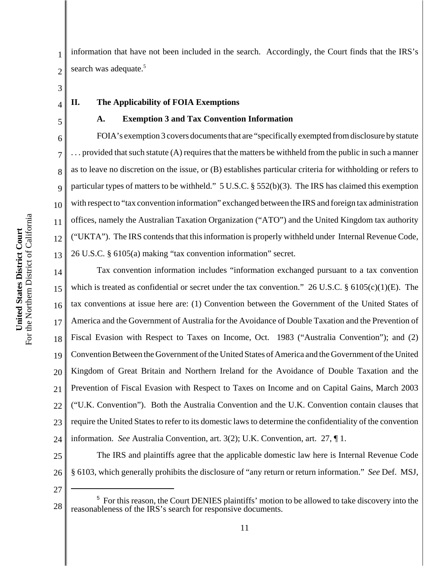1 2 information that have not been included in the search. Accordingly, the Court finds that the IRS's search was adequate.<sup>5</sup>

3 4

5

6

7

8

9

10

11

12

13

### **II. The Applicability of FOIA Exemptions**

#### **A. Exemption 3 and Tax Convention Information**

FOIA's exemption 3 covers documents that are "specifically exempted from disclosure by statute . . . provided that such statute (A) requires that the matters be withheld from the public in such a manner as to leave no discretion on the issue, or (B) establishes particular criteria for withholding or refers to particular types of matters to be withheld." 5 U.S.C. § 552(b)(3). The IRS has claimed this exemption with respect to "tax convention information" exchanged between the IRS and foreign tax administration offices, namely the Australian Taxation Organization ("ATO") and the United Kingdom tax authority ("UKTA"). The IRS contends that this information is properly withheld under Internal Revenue Code, 26 U.S.C. § 6105(a) making "tax convention information" secret.

14 15 16 17 18 19 20 21 22 23 24 Tax convention information includes "information exchanged pursuant to a tax convention which is treated as confidential or secret under the tax convention." 26 U.S.C. § 6105(c)(1)(E). The tax conventions at issue here are: (1) Convention between the Government of the United States of America and the Government of Australia for the Avoidance of Double Taxation and the Prevention of Fiscal Evasion with Respect to Taxes on Income, Oct. 1983 ("Australia Convention"); and (2) Convention Between the Government of the United States of America and the Government of the United Kingdom of Great Britain and Northern Ireland for the Avoidance of Double Taxation and the Prevention of Fiscal Evasion with Respect to Taxes on Income and on Capital Gains, March 2003 ("U.K. Convention"). Both the Australia Convention and the U.K. Convention contain clauses that require the United States to refer to its domestic laws to determine the confidentiality of the convention information. *See* Australia Convention, art. 3(2); U.K. Convention, art. 27, ¶ 1.

25 26 The IRS and plaintiffs agree that the applicable domestic law here is Internal Revenue Code § 6103, which generally prohibits the disclosure of "any return or return information." *See* Def. MSJ,

<sup>28</sup> <sup>5</sup> For this reason, the Court DENIES plaintiffs' motion to be allowed to take discovery into the reasonableness of the IRS's search for responsive documents.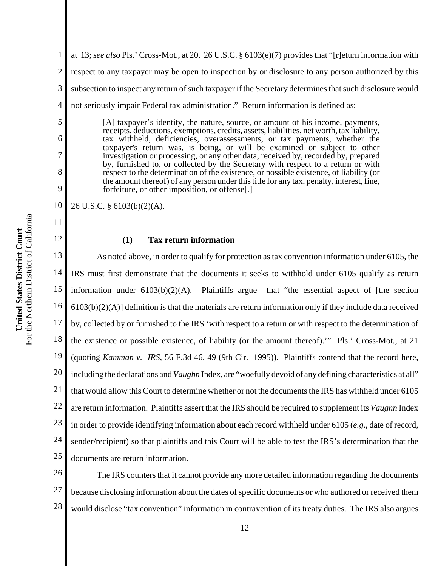6

7

8

9

11

12

1 2 3 4 at 13; *see also* Pls.' Cross-Mot., at 20. 26 U.S.C. § 6103(e)(7) provides that "[r]eturn information with respect to any taxpayer may be open to inspection by or disclosure to any person authorized by this subsection to inspect any return of such taxpayer if the Secretary determines that such disclosure would not seriously impair Federal tax administration." Return information is defined as:

[A] taxpayer's identity, the nature, source, or amount of his income, payments, receipts, deductions, exemptions, credits, assets, liabilities, net worth, tax liability, tax withheld, deficiencies, overassessments, or tax payments, whether the taxpayer's return was, is being, or will be examined or subject to other investigation or processing, or any other data, received by, recorded by, prepared by, furnished to, or collected by the Secretary with respect to a return or with respect to the determination of the existence, or possible existence, of liability (or the amount thereof) of any person under this title for any tax, penalty, interest, fine, forfeiture, or other imposition, or offense[.]

10 26 U.S.C. § 6103(b)(2)(A).

#### **(1) Tax return information**

13 14 15 16 17 18 19 20 21 22 23 24 25 As noted above, in order to qualify for protection as tax convention information under 6105, the IRS must first demonstrate that the documents it seeks to withhold under 6105 qualify as return information under 6103(b)(2)(A). Plaintiffs argue that "the essential aspect of [the section  $6103(b)(2)(A)$ ] definition is that the materials are return information only if they include data received by, collected by or furnished to the IRS 'with respect to a return or with respect to the determination of the existence or possible existence, of liability (or the amount thereof).'" Pls.' Cross-Mot*.*, at 21 (quoting *Kamman v. IRS*, 56 F.3d 46, 49 (9th Cir. 1995)). Plaintiffs contend that the record here, including the declarations and *Vaughn* Index, are "woefully devoid of any defining characteristics at all" that would allow this Court to determine whether or not the documents the IRS has withheld under 6105 are return information. Plaintiffs assert that the IRS should be required to supplement its *Vaughn* Index in order to provide identifying information about each record withheld under 6105 (*e.g*., date of record, sender/recipient) so that plaintiffs and this Court will be able to test the IRS's determination that the documents are return information.

26 27 28 The IRS counters that it cannot provide any more detailed information regarding the documents because disclosing information about the dates of specific documents or who authored or received them would disclose "tax convention" information in contravention of its treaty duties. The IRS also argues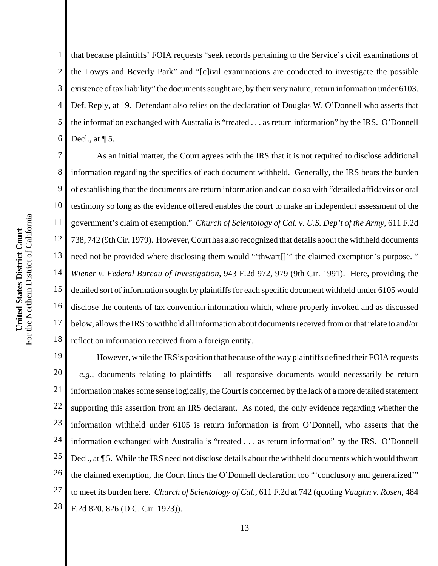1 2 3 4 5 6 that because plaintiffs' FOIA requests "seek records pertaining to the Service's civil examinations of the Lowys and Beverly Park" and "[c]ivil examinations are conducted to investigate the possible existence of tax liability" the documents sought are, by their very nature, return information under 6103. Def. Reply, at 19. Defendant also relies on the declaration of Douglas W. O'Donnell who asserts that the information exchanged with Australia is "treated . . . as return information" by the IRS. O'Donnell Decl., at  $\P$  5.

7 8 9 10 11 12 13 14 15 16 17 18 As an initial matter, the Court agrees with the IRS that it is not required to disclose additional information regarding the specifics of each document withheld. Generally, the IRS bears the burden of establishing that the documents are return information and can do so with "detailed affidavits or oral testimony so long as the evidence offered enables the court to make an independent assessment of the government's claim of exemption." *Church of Scientology of Cal. v. U.S. Dep't of the Army*, 611 F.2d 738, 742 (9th Cir. 1979). However, Court has also recognized that details about the withheld documents need not be provided where disclosing them would "'thwart[]'" the claimed exemption's purpose. " *Wiener v. Federal Bureau of Investigation*, 943 F.2d 972, 979 (9th Cir. 1991). Here, providing the detailed sort of information sought by plaintiffs for each specific document withheld under 6105 would disclose the contents of tax convention information which, where properly invoked and as discussed below, allows the IRS to withhold all information about documents received from or that relate to and/or reflect on information received from a foreign entity.

19 20 21 22 23 24 25 26 27 28 However, while the IRS's position that because of the way plaintiffs defined their FOIA requests – *e.g*., documents relating to plaintiffs – all responsive documents would necessarily be return information makes some sense logically, the Court is concerned by the lack of a more detailed statement supporting this assertion from an IRS declarant. As noted, the only evidence regarding whether the information withheld under 6105 is return information is from O'Donnell, who asserts that the information exchanged with Australia is "treated . . . as return information" by the IRS. O'Donnell Decl., at ¶ 5. While the IRS need not disclose details about the withheld documents which would thwart the claimed exemption, the Court finds the O'Donnell declaration too "'conclusory and generalized'" to meet its burden here. *Church of Scientology of Cal.,* 611 F.2d at 742 (quoting *Vaughn v. Rosen*, 484 F.2d 820, 826 (D.C. Cir. 1973)).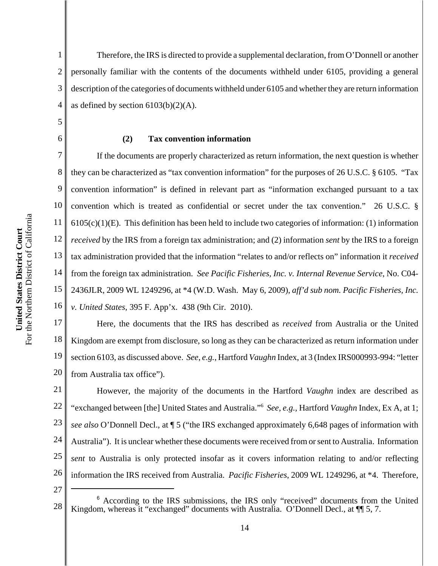2

5

6

7

8

9

11

13

14

15

3 4 Therefore, the IRS is directed to provide a supplemental declaration, from O'Donnell or another personally familiar with the contents of the documents withheld under 6105, providing a general description of the categories of documents withheld under 6105 and whether they are return information as defined by section  $6103(b)(2)(A)$ .

## **(2) Tax convention information**

10 12 16 If the documents are properly characterized as return information, the next question is whether they can be characterized as "tax convention information" for the purposes of 26 U.S.C. § 6105. "Tax convention information" is defined in relevant part as "information exchanged pursuant to a tax convention which is treated as confidential or secret under the tax convention." 26 U.S.C. §  $6105(c)(1)(E)$ . This definition has been held to include two categories of information: (1) information *received* by the IRS from a foreign tax administration; and (2) information *sent* by the IRS to a foreign tax administration provided that the information "relates to and/or reflects on" information it *received* from the foreign tax administration. *See Pacific Fisheries, Inc. v. Internal Revenue Service*, No. C04- 2436JLR, 2009 WL 1249296, at \*4 (W.D. Wash. May 6, 2009), *aff'd sub nom. Pacific Fisheries, Inc. v. United States*, 395 F. App'x. 438 (9th Cir. 2010).

17 18 19 20 Here, the documents that the IRS has described as *received* from Australia or the United Kingdom are exempt from disclosure, so long as they can be characterized as return information under section 6103, as discussed above. *See*, *e.g.*, Hartford *Vaughn* Index, at 3 (Index IRS000993-994: "letter from Australia tax office").

21 22 23 24 25 26 However, the majority of the documents in the Hartford *Vaughn* index are described as "exchanged between [the] United States and Australia."6 *See, e.g.,* Hartford *Vaughn* Index, Ex A, at 1; *see also* O'Donnell Decl., at ¶ 5 ("the IRS exchanged approximately 6,648 pages of information with Australia"). It is unclear whether these documents were received from or sent to Australia. Information *sent* to Australia is only protected insofar as it covers information relating to and/or reflecting information the IRS received from Australia. *Pacific Fisheries*, 2009 WL 1249296, at \*4. Therefore,

<sup>28</sup> <sup>6</sup> According to the IRS submissions, the IRS only "received" documents from the United Kingdom, whereas it "exchanged" documents with Australia. O'Donnell Decl., at  $\P$  5, 7.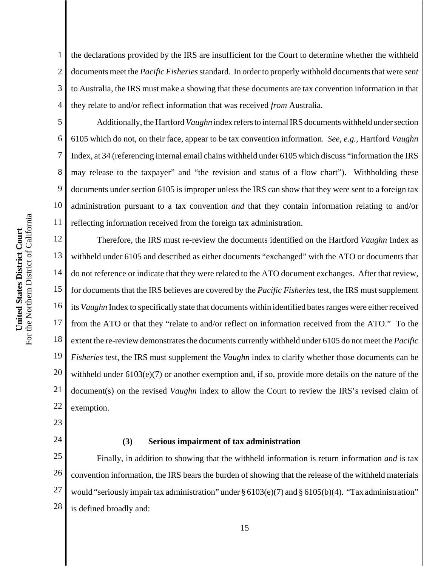1 2 3 4 the declarations provided by the IRS are insufficient for the Court to determine whether the withheld documents meet the *Pacific Fisheries* standard. In order to properly withhold documents that were *sent* to Australia, the IRS must make a showing that these documents are tax convention information in that they relate to and/or reflect information that was received *from* Australia.

Additionally, the Hartford *Vaughn* index refers to internal IRS documents withheld under section 6105 which do not, on their face, appear to be tax convention information. *See*, *e.g.*, Hartford *Vaughn* Index, at 34 (referencing internal email chains withheld under 6105 which discuss "information the IRS may release to the taxpayer" and "the revision and status of a flow chart"). Withholding these documents under section 6105 is improper unless the IRS can show that they were sent to a foreign tax administration pursuant to a tax convention *and* that they contain information relating to and/or reflecting information received from the foreign tax administration.

12 13 14 15 16 17 18 19 20 21 22 Therefore, the IRS must re-review the documents identified on the Hartford *Vaughn* Index as withheld under 6105 and described as either documents "exchanged" with the ATO or documents that do not reference or indicate that they were related to the ATO document exchanges. After that review, for documents that the IRS believes are covered by the *Pacific Fisheries* test, the IRS must supplement its *Vaughn* Index to specifically state that documents within identified bates ranges were either received from the ATO or that they "relate to and/or reflect on information received from the ATO." To the extent the re-review demonstrates the documents currently withheld under 6105 do not meet the *Pacific Fisheries* test, the IRS must supplement the *Vaughn* index to clarify whether those documents can be withheld under  $6103(e)(7)$  or another exemption and, if so, provide more details on the nature of the document(s) on the revised *Vaughn* index to allow the Court to review the IRS's revised claim of exemption.

23

5

6

7

8

9

10

11

24

# **(3) Serious impairment of tax administration**

25 26 27 28 Finally, in addition to showing that the withheld information is return information *and* is tax convention information, the IRS bears the burden of showing that the release of the withheld materials would "seriously impair tax administration" under § 6103(e)(7) and § 6105(b)(4). "Tax administration" is defined broadly and: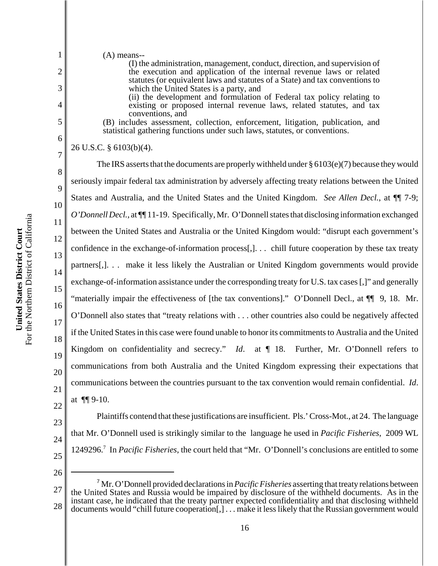2

3

4

5

6

7

8

9

10

11

12

13

(A) means-- (I) the administration, management, conduct, direction, and supervision of the execution and application of the internal revenue laws or related statutes (or equivalent laws and statutes of a State) and tax conventions to which the United States is a party, and (ii) the development and formulation of Federal tax policy relating to existing or proposed internal revenue laws, related statutes, and tax conventions, and (B) includes assessment, collection, enforcement, litigation, publication, and statistical gathering functions under such laws, statutes, or conventions. 26 U.S.C. § 6103(b)(4). The IRS asserts that the documents are properly withheld under § 6103(e)(7) because they would seriously impair federal tax administration by adversely affecting treaty relations between the United States and Australia, and the United States and the United Kingdom. *See Allen Decl.*, at ¶¶ 7-9; *O'Donnell Decl.*, at ¶¶ 11-19. Specifically, Mr. O'Donnell states that disclosing information exchanged between the United States and Australia or the United Kingdom would: "disrupt each government's confidence in the exchange-of-information process[,]. . . chill future cooperation by these tax treaty partners[,]. . . make it less likely the Australian or United Kingdom governments would provide

14 15 16 17 18 19 20 21 exchange-of-information assistance under the corresponding treaty for U.S. tax cases [,]" and generally "materially impair the effectiveness of [the tax conventions]." O'Donnell Decl., at  $\P$  9, 18. Mr. O'Donnell also states that "treaty relations with . . . other countries also could be negatively affected if the United States in this case were found unable to honor its commitments to Australia and the United Kingdom on confidentiality and secrecy." *Id*. at ¶ 18. Further, Mr. O'Donnell refers to communications from both Australia and the United Kingdom expressing their expectations that communications between the countries pursuant to the tax convention would remain confidential. *Id*. at ¶¶ 9-10.

23 24 25 Plaintiffs contend that these justifications are insufficient. Pls.' Cross-Mot., at 24. The language that Mr. O'Donnell used is strikingly similar to the language he used in *Pacific Fisheries*, 2009 WL 1249296.7 In *Pacific Fisheries*, the court held that "Mr. O'Donnell's conclusions are entitled to some

26

<sup>27</sup> 28 <sup>7</sup> Mr. O'Donnell provided declarations in *Pacific Fisheries* asserting that treaty relations between the United States and Russia would be impaired by disclosure of the withheld documents. As in the instant case, he indicated that the treaty partner expected confidentiality and that disclosing withheld documents would "chill future cooperation[,] . . . make it less likely that the Russian government would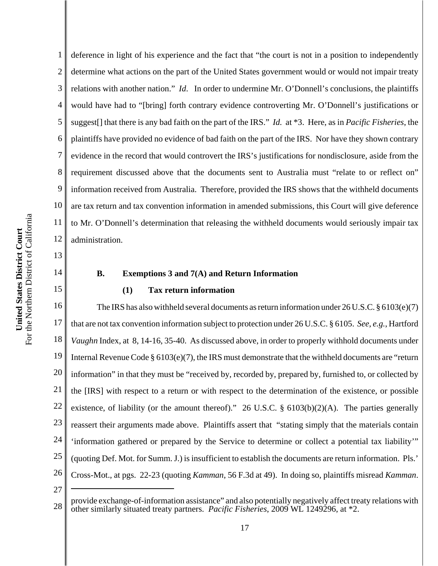14

15

1 2 3 4 5 6 7 8 9 10 11 12 deference in light of his experience and the fact that "the court is not in a position to independently determine what actions on the part of the United States government would or would not impair treaty relations with another nation." *Id*. In order to undermine Mr. O'Donnell's conclusions, the plaintiffs would have had to "[bring] forth contrary evidence controverting Mr. O'Donnell's justifications or suggest[] that there is any bad faith on the part of the IRS." *Id.* at \*3. Here, as in *Pacific Fisheries*, the plaintiffs have provided no evidence of bad faith on the part of the IRS. Nor have they shown contrary evidence in the record that would controvert the IRS's justifications for nondisclosure, aside from the requirement discussed above that the documents sent to Australia must "relate to or reflect on" information received from Australia. Therefore, provided the IRS shows that the withheld documents are tax return and tax convention information in amended submissions, this Court will give deference to Mr. O'Donnell's determination that releasing the withheld documents would seriously impair tax administration.

## **B. Exemptions 3 and 7(A) and Return Information**

## **(1) Tax return information**

16 17 18 19 20 21 22 23 24 25 26 The IRS has also withheld several documents as return information under  $26$  U.S.C. § 6103(e)(7) that are not tax convention information subject to protection under 26 U.S.C. § 6105. *See*, *e.g.*, Hartford *Vaughn* Index, at 8, 14-16, 35-40. As discussed above, in order to properly withhold documents under Internal Revenue Code § 6103(e)(7), the IRS must demonstrate that the withheld documents are "return information" in that they must be "received by, recorded by, prepared by, furnished to, or collected by the [IRS] with respect to a return or with respect to the determination of the existence, or possible existence, of liability (or the amount thereof)." 26 U.S.C. § 6103(b)(2)(A). The parties generally reassert their arguments made above. Plaintiffs assert that "stating simply that the materials contain 'information gathered or prepared by the Service to determine or collect a potential tax liability'" (quoting Def. Mot. for Summ. J.) is insufficient to establish the documents are return information. Pls.' Cross-Mot., at pgs. 22-23 (quoting *Kamman*, 56 F.3d at 49). In doing so, plaintiffs misread *Kamman*.

<sup>28</sup> provide exchange-of-information assistance" and also potentially negatively affect treaty relations with<br>28 ether similarly situated treaty performed  $P_{\text{0}}$  as fig. Eigherias, 2000 MJ, 1240206, at \*2 other similarly situated treaty partners. *Pacific Fisheries*, 2009 WL 1249296, at \*2.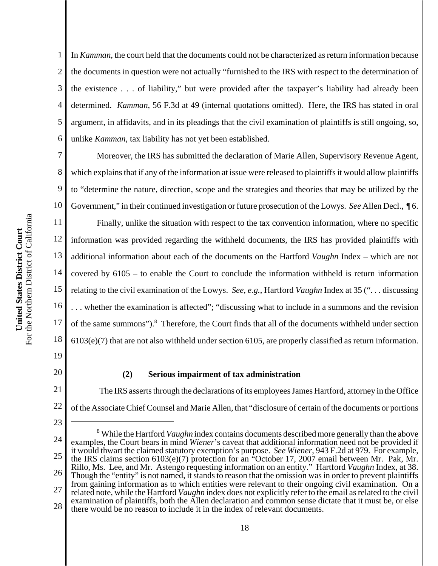2 3 4 6 In *Kamman*, the court held that the documents could not be characterized as return information because the documents in question were not actually "furnished to the IRS with respect to the determination of the existence . . . of liability," but were provided after the taxpayer's liability had already been determined. *Kamman*, 56 F.3d at 49 (internal quotations omitted). Here, the IRS has stated in oral argument, in affidavits, and in its pleadings that the civil examination of plaintiffs is still ongoing, so, unlike *Kamman*, tax liability has not yet been established.

7 8 9 10 Moreover, the IRS has submitted the declaration of Marie Allen, Supervisory Revenue Agent, which explains that if any of the information at issue were released to plaintiffs it would allow plaintiffs to "determine the nature, direction, scope and the strategies and theories that may be utilized by the Government," in their continued investigation or future prosecution of the Lowys. *See* Allen Decl., ¶ 6.

11 12 13 14 15 16 17 18 Finally, unlike the situation with respect to the tax convention information, where no specific information was provided regarding the withheld documents, the IRS has provided plaintiffs with additional information about each of the documents on the Hartford *Vaughn* Index – which are not covered by 6105 – to enable the Court to conclude the information withheld is return information relating to the civil examination of the Lowys. *See, e.g.*, Hartford *Vaughn* Index at 35 (". . . discussing . . . whether the examination is affected"; "discussing what to include in a summons and the revision of the same summons").<sup>8</sup> Therefore, the Court finds that all of the documents withheld under section 6103(e)(7) that are not also withheld under section 6105, are properly classified as return information.

19

1

5

20

23

#### **(2) Serious impairment of tax administration**

21 22 The IRS asserts through the declarations of its employees James Hartford, attorney in the Office of the Associate Chief Counsel and Marie Allen, that "disclosure of certain of the documents or portions

<sup>24</sup> 25 26 27 28 <sup>8</sup> While the Hartford *Vaughn* index contains documents described more generally than the above examples, the Court bears in mind *Wiener*'s caveat that additional information need not be provided if it would thwart the claimed statutory exemption's purpose. *See Wiener*, 943 F.2d at 979. For example, the IRS claims section 6103(e)(7) protection for an "October 17, 2007 email between Mr. Pak, Mr. Rillo, Ms. Lee, and Mr. Astengo requesting information on an entity." Hartford *Vaughn* Index, at 38. Though the "entity" is not named, it stands to reason that the omission was in order to prevent plaintiffs from gaining information as to which entities were relevant to their ongoing civil examination. On a related note, while the Hartford *Vaughn* index does not explicitly refer to the email as related to the civil examination of plaintiffs, both the Allen declaration and common sense dictate that it must be, or else there would be no reason to include it in the index of relevant documents.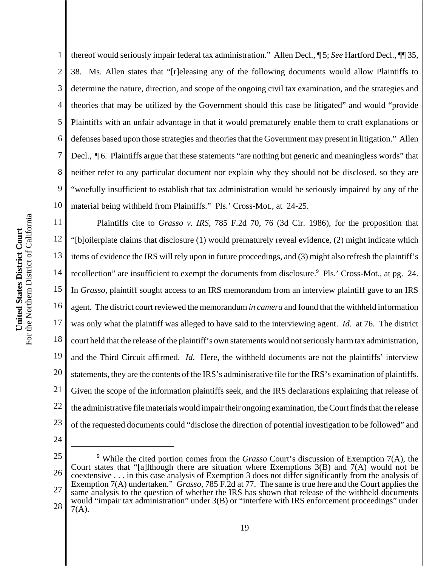1 2 3 4 5 6 7 8 9 10 thereof would seriously impair federal tax administration." Allen Decl., ¶ 5; *See* Hartford Decl., ¶¶ 35, 38. Ms. Allen states that "[r]eleasing any of the following documents would allow Plaintiffs to determine the nature, direction, and scope of the ongoing civil tax examination, and the strategies and theories that may be utilized by the Government should this case be litigated" and would "provide Plaintiffs with an unfair advantage in that it would prematurely enable them to craft explanations or defenses based upon those strategies and theories that the Government may present in litigation." Allen Decl.,  $\P$  6. Plaintiffs argue that these statements "are nothing but generic and meaningless words" that neither refer to any particular document nor explain why they should not be disclosed, so they are "woefully insufficient to establish that tax administration would be seriously impaired by any of the material being withheld from Plaintiffs." Pls.' Cross-Mot., at 24-25.

11 12 13 14 15 16 17 18 19 20 21 22 23 Plaintiffs cite to *Grasso v. IRS*, 785 F.2d 70, 76 (3d Cir. 1986), for the proposition that "[b]oilerplate claims that disclosure (1) would prematurely reveal evidence, (2) might indicate which items of evidence the IRS will rely upon in future proceedings, and (3) might also refresh the plaintiff's recollection" are insufficient to exempt the documents from disclosure.<sup>9</sup> Pls.' Cross-Mot., at pg. 24. In *Grasso*, plaintiff sought access to an IRS memorandum from an interview plaintiff gave to an IRS agent. The district court reviewed the memorandum *in camera* and found that the withheld information was only what the plaintiff was alleged to have said to the interviewing agent. *Id.* at 76. The district court held that the release of the plaintiff's own statements would not seriously harm tax administration, and the Third Circuit affirmed. *Id*. Here, the withheld documents are not the plaintiffs' interview statements, they are the contents of the IRS's administrative file for the IRS's examination of plaintiffs. Given the scope of the information plaintiffs seek, and the IRS declarations explaining that release of the administrative file materials would impair their ongoing examination, the Court finds that the release of the requested documents could "disclose the direction of potential investigation to be followed" and

- 24
- 25

<sup>26</sup> 27 28 <sup>9</sup> While the cited portion comes from the *Grasso* Court's discussion of Exemption 7(A), the Court states that "[a]lthough there are situation where Exemptions  $3(B)$  and  $7(A)$  would not be coextensive . . . in this case analysis of Exemption 3 does not differ significantly from the analysis of Exemption 7(A) undertaken." *Grasso*, 785 F.2d at 77. The same is true here and the Court applies the same analysis to the question of whether the IRS has shown that release of the withheld documents would "impair tax administration" under 3(B) or "interfere with IRS enforcement proceedings" under  $7(A)$ .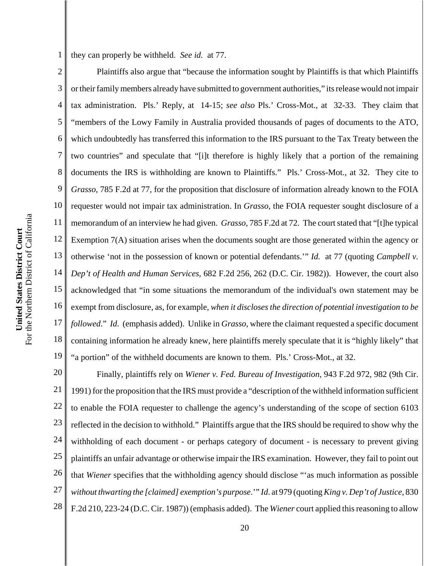they can properly be withheld. *See id.* at 77.

2 3 4 5 6 7 8 9 10 11 12 13 14 15 16 17 18 19 Plaintiffs also argue that "because the information sought by Plaintiffs is that which Plaintiffs or their family members already have submitted to government authorities," its release would not impair tax administration. Pls.' Reply, at 14-15; *see also* Pls.' Cross-Mot., at 32-33. They claim that "members of the Lowy Family in Australia provided thousands of pages of documents to the ATO, which undoubtedly has transferred this information to the IRS pursuant to the Tax Treaty between the two countries" and speculate that "[i]t therefore is highly likely that a portion of the remaining documents the IRS is withholding are known to Plaintiffs." Pls.' Cross-Mot., at 32. They cite to *Grasso*, 785 F.2d at 77, for the proposition that disclosure of information already known to the FOIA requester would not impair tax administration. In *Grasso*, the FOIA requester sought disclosure of a memorandum of an interview he had given. *Grasso*, 785 F.2d at 72. The court stated that "[t]he typical Exemption 7(A) situation arises when the documents sought are those generated within the agency or otherwise 'not in the possession of known or potential defendants.'" *Id.* at 77 (quoting *Campbell v. Dep't of Health and Human Services*, 682 F.2d 256, 262 (D.C. Cir. 1982)). However, the court also acknowledged that "in some situations the memorandum of the individual's own statement may be exempt from disclosure, as, for example, *when it discloses the direction of potential investigation to be followed*." *Id*. (emphasis added). Unlike in *Grasso*, where the claimant requested a specific document containing information he already knew, here plaintiffs merely speculate that it is "highly likely" that "a portion" of the withheld documents are known to them. Pls.' Cross-Mot., at 32.

20 21 22 23 24 25 26 27 28 Finally, plaintiffs rely on *Wiener v. Fed. Bureau of Investigation*, 943 F.2d 972, 982 (9th Cir. 1991) for the proposition that the IRS must provide a "description of the withheld information sufficient to enable the FOIA requester to challenge the agency's understanding of the scope of section 6103 reflected in the decision to withhold." Plaintiffs argue that the IRS should be required to show why the withholding of each document - or perhaps category of document - is necessary to prevent giving plaintiffs an unfair advantage or otherwise impair the IRS examination. However, they fail to point out that *Wiener* specifies that the withholding agency should disclose "'as much information as possible *without thwarting the [claimed] exemption's purpose*.'" *Id*. at 979 (quoting *King v. Dep't of Justice*, 830 F.2d 210, 223-24 (D.C. Cir. 1987)) (emphasis added). The *Wiener* court applied this reasoning to allow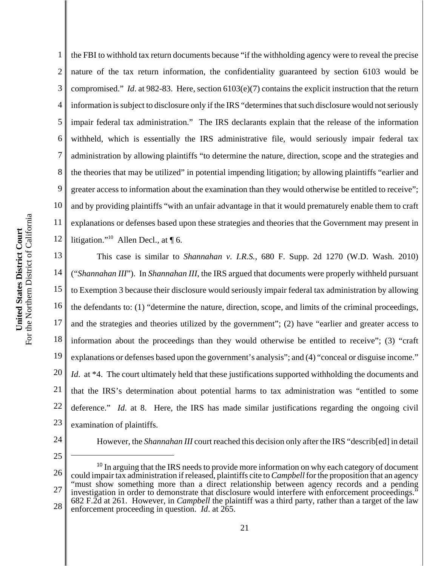2

3

4

the FBI to withhold tax return documents because "if the withholding agency were to reveal the precise nature of the tax return information, the confidentiality guaranteed by section 6103 would be compromised." *Id*. at 982-83. Here, section 6103(e)(7) contains the explicit instruction that the return information is subject to disclosure only if the IRS "determines that such disclosure would not seriously impair federal tax administration." The IRS declarants explain that the release of the information withheld, which is essentially the IRS administrative file, would seriously impair federal tax administration by allowing plaintiffs "to determine the nature, direction, scope and the strategies and the theories that may be utilized" in potential impending litigation; by allowing plaintiffs "earlier and greater access to information about the examination than they would otherwise be entitled to receive"; and by providing plaintiffs "with an unfair advantage in that it would prematurely enable them to craft explanations or defenses based upon these strategies and theories that the Government may present in litigation."<sup>10</sup> Allen Decl., at  $\P$  6.

18 19 20 21 22 23 This case is similar to *Shannahan v. I.R.S.*, 680 F. Supp. 2d 1270 (W.D. Wash. 2010) ("*Shannahan III*"). In *Shannahan III*, the IRS argued that documents were properly withheld pursuant to Exemption 3 because their disclosure would seriously impair federal tax administration by allowing the defendants to: (1) "determine the nature, direction, scope, and limits of the criminal proceedings, and the strategies and theories utilized by the government"; (2) have "earlier and greater access to information about the proceedings than they would otherwise be entitled to receive"; (3) "craft explanations or defenses based upon the government's analysis"; and (4) "conceal or disguise income." *Id.* at \*4. The court ultimately held that these justifications supported withholding the documents and that the IRS's determination about potential harms to tax administration was "entitled to some deference." *Id*. at 8. Here, the IRS has made similar justifications regarding the ongoing civil examination of plaintiffs.

24 25

However, the *Shannahan III* court reached this decision only after the IRS "describ[ed] in detail

<sup>26</sup> 27 28  $10$  In arguing that the IRS needs to provide more information on why each category of document could impair tax administration if released, plaintiffs cite to *Campbell* for the proposition that an agency "must show something more than a direct relationship between agency records and a pending investigation in order to demonstrate that disclosure would interfere with enforcement proceedings." 682 F.2d at 261. However, in *Campbell* the plaintiff was a third party, rather than a target of the law enforcement proceeding in question. *Id*. at 265.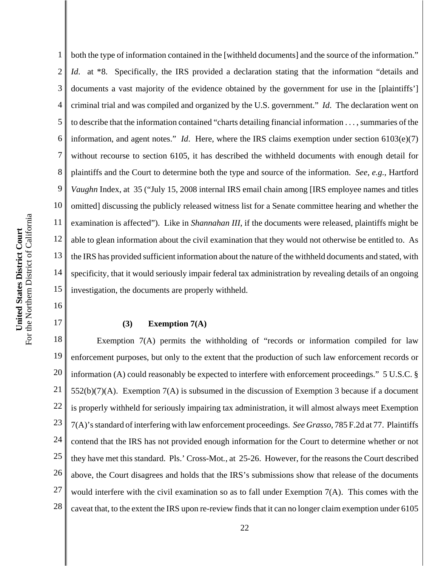1 2 3 4 5 6 7 8 9 both the type of information contained in the [withheld documents] and the source of the information." *Id.* at \*8. Specifically, the IRS provided a declaration stating that the information "details and documents a vast majority of the evidence obtained by the government for use in the [plaintiffs'] criminal trial and was compiled and organized by the U.S. government." *Id*. The declaration went on to describe that the information contained "charts detailing financial information . . . , summaries of the information, and agent notes." *Id*. Here, where the IRS claims exemption under section 6103(e)(7) without recourse to section 6105, it has described the withheld documents with enough detail for plaintiffs and the Court to determine both the type and source of the information. *See*, *e.g.*, Hartford *Vaughn* Index, at 35 ("July 15, 2008 internal IRS email chain among [IRS employee names and titles omitted] discussing the publicly released witness list for a Senate committee hearing and whether the examination is affected"). Like in *Shannahan III*, if the documents were released, plaintiffs might be able to glean information about the civil examination that they would not otherwise be entitled to. As the IRS has provided sufficient information about the nature of the withheld documents and stated, with specificity, that it would seriously impair federal tax administration by revealing details of an ongoing investigation, the documents are properly withheld.

# **(3) Exemption 7(A)**

18 19 20 21 22 23 24 25 26 27 28 Exemption 7(A) permits the withholding of "records or information compiled for law enforcement purposes, but only to the extent that the production of such law enforcement records or information (A) could reasonably be expected to interfere with enforcement proceedings." 5 U.S.C. § 552(b)(7)(A). Exemption 7(A) is subsumed in the discussion of Exemption 3 because if a document is properly withheld for seriously impairing tax administration, it will almost always meet Exemption 7(A)'s standard of interfering with law enforcement proceedings. *See Grasso*, 785 F.2d at 77. Plaintiffs contend that the IRS has not provided enough information for the Court to determine whether or not they have met this standard. Pls.' Cross-Mot*.*, at 25-26. However, for the reasons the Court described above, the Court disagrees and holds that the IRS's submissions show that release of the documents would interfere with the civil examination so as to fall under Exemption 7(A). This comes with the caveat that, to the extent the IRS upon re-review finds that it can no longer claim exemption under 6105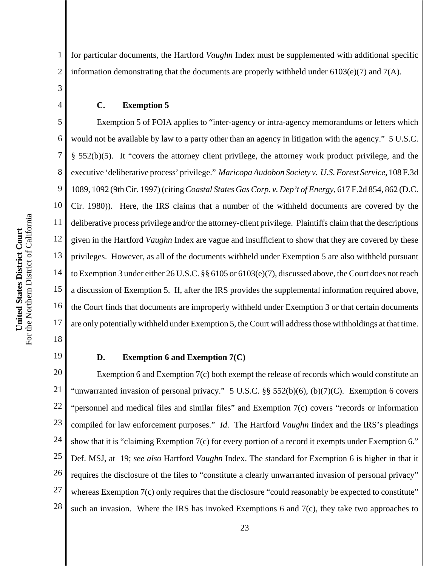1 2 for particular documents, the Hartford *Vaughn* Index must be supplemented with additional specific information demonstrating that the documents are properly withheld under  $6103(e)(7)$  and  $7(A)$ .

**C. Exemption 5**

5 6 7 8 9 10 11 12 13 14 15 16 17 Exemption 5 of FOIA applies to "inter-agency or intra-agency memorandums or letters which would not be available by law to a party other than an agency in litigation with the agency." 5 U.S.C. § 552(b)(5). It "covers the attorney client privilege, the attorney work product privilege, and the executive 'deliberative process' privilege." *Maricopa Audobon Society v. U.S. Forest Service*, 108 F.3d 1089, 1092 (9th Cir. 1997) (citing *Coastal States Gas Corp. v. Dep't of Energy*, 617 F.2d 854, 862 (D.C. Cir. 1980)). Here, the IRS claims that a number of the withheld documents are covered by the deliberative process privilege and/or the attorney-client privilege. Plaintiffs claim that the descriptions given in the Hartford *Vaughn* Index are vague and insufficient to show that they are covered by these privileges. However, as all of the documents withheld under Exemption 5 are also withheld pursuant to Exemption 3 under either 26 U.S.C. §§ 6105 or 6103(e)(7), discussed above, the Court does not reach a discussion of Exemption 5. If, after the IRS provides the supplemental information required above, the Court finds that documents are improperly withheld under Exemption 3 or that certain documents are only potentially withheld under Exemption 5, the Court will address those withholdings at that time.

18 19

3

4

## **D. Exemption 6 and Exemption 7(C)**

20 21 22 23 24 25 26 27 28 Exemption 6 and Exemption 7(c) both exempt the release of records which would constitute an "unwarranted invasion of personal privacy." 5 U.S.C. §§ 552(b)(6), (b)(7)(C). Exemption 6 covers "personnel and medical files and similar files" and Exemption 7(c) covers "records or information compiled for law enforcement purposes." *Id*. The Hartford *Vaughn* Iindex and the IRS's pleadings show that it is "claiming Exemption 7(c) for every portion of a record it exempts under Exemption 6." Def. MSJ, at 19; *see also* Hartford *Vaughn* Index. The standard for Exemption 6 is higher in that it requires the disclosure of the files to "constitute a clearly unwarranted invasion of personal privacy" whereas Exemption 7(c) only requires that the disclosure "could reasonably be expected to constitute" such an invasion. Where the IRS has invoked Exemptions 6 and 7(c), they take two approaches to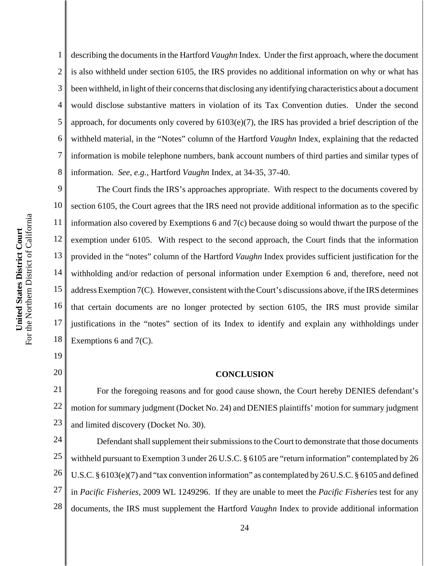1 2 3 4 5 6 7 describing the documents in the Hartford *Vaughn* Index. Under the first approach, where the document is also withheld under section 6105, the IRS provides no additional information on why or what has been withheld, in light of their concerns that disclosing any identifying characteristics about a document would disclose substantive matters in violation of its Tax Convention duties. Under the second approach, for documents only covered by 6103(e)(7), the IRS has provided a brief description of the withheld material, in the "Notes" column of the Hartford *Vaughn* Index, explaining that the redacted information is mobile telephone numbers, bank account numbers of third parties and similar types of information. *See, e.g.*, Hartford *Vaughn* Index, at 34-35, 37-40.

8 9 The Court finds the IRS's approaches appropriate. With respect to the documents covered by 10 section 6105, the Court agrees that the IRS need not provide additional information as to the specific For the Northern District of California For the Northern District of California 11 information also covered by Exemptions 6 and 7(c) because doing so would thwart the purpose of the United States District Court **United States District Court** 12 exemption under 6105. With respect to the second approach, the Court finds that the information 13 provided in the "notes" column of the Hartford *Vaughn* Index provides sufficient justification for the 14 withholding and/or redaction of personal information under Exemption 6 and, therefore, need not 15 address Exemption 7(C). However, consistent with the Court's discussions above, if the IRS determines 16 that certain documents are no longer protected by section 6105, the IRS must provide similar 17 justifications in the "notes" section of its Index to identify and explain any withholdings under 18 Exemptions 6 and 7(C).

> 19 20

# **CONCLUSION**

21 22 23 For the foregoing reasons and for good cause shown, the Court hereby DENIES defendant's motion for summary judgment (Docket No. 24) and DENIES plaintiffs' motion for summary judgment and limited discovery (Docket No. 30).

24 25 26 27 28 Defendant shall supplement their submissions to the Court to demonstrate that those documents withheld pursuant to Exemption 3 under 26 U.S.C. § 6105 are "return information" contemplated by 26 U.S.C. § 6103(e)(7) and "tax convention information" as contemplated by 26 U.S.C. § 6105 and defined in *Pacific Fisheries,* 2009 WL 1249296. If they are unable to meet the *Pacific Fisheries* test for any documents, the IRS must supplement the Hartford *Vaughn* Index to provide additional information